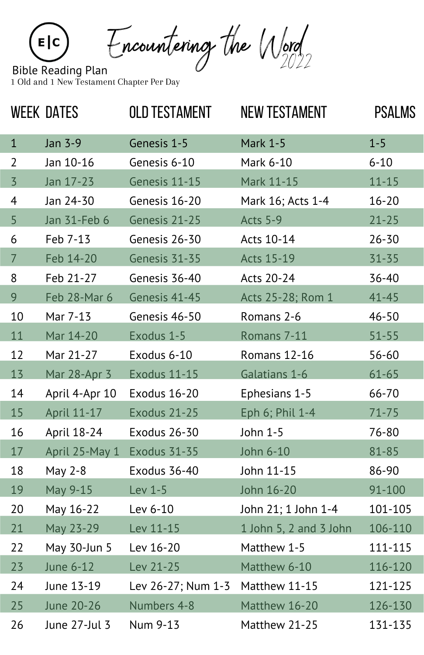Encountering the Word  $E|C$ Bible Reading Plan  $\theta$  2022

1 Old and 1 New Testament Chapter Per Day

|                | <b>WEEK DATES</b> | <b>OLD TESTAMENT</b> | <b>NEW TESTAMENT</b>   | <b>PSALMS</b> |
|----------------|-------------------|----------------------|------------------------|---------------|
| $\mathbf{1}$   | Jan 3-9           | Genesis 1-5          | <b>Mark 1-5</b>        | $1 - 5$       |
| $\overline{2}$ | Jan 10-16         | Genesis 6-10         | Mark 6-10              | $6 - 10$      |
| $\overline{3}$ | Jan 17-23         | Genesis 11-15        | Mark 11-15             | $11 - 15$     |
| 4              | Jan 24-30         | Genesis 16-20        | Mark 16; Acts 1-4      | $16 - 20$     |
| 5              | Jan 31-Feb 6      | Genesis 21-25        | Acts 5-9               | $21 - 25$     |
| 6              | Feb 7-13          | Genesis 26-30        | Acts 10-14             | $26 - 30$     |
| $\overline{7}$ | Feb 14-20         | Genesis 31-35        | Acts 15-19             | $31 - 35$     |
| 8              | Feb 21-27         | Genesis 36-40        | Acts 20-24             | 36-40         |
| 9              | Feb 28-Mar 6      | Genesis 41-45        | Acts 25-28; Rom 1      | $41 - 45$     |
| 10             | Mar 7-13          | Genesis 46-50        | Romans 2-6             | $46 - 50$     |
| 11             | Mar 14-20         | Exodus 1-5           | Romans 7-11            | $51 - 55$     |
| 12             | Mar 21-27         | Exodus 6-10          | Romans 12-16           | 56-60         |
| 13             | Mar 28-Apr 3      | <b>Exodus 11-15</b>  | Galatians 1-6          | $61 - 65$     |
| 14             | April 4-Apr 10    | Exodus 16-20         | Ephesians 1-5          | 66-70         |
| 15             | April 11-17       | Exodus 21-25         | Eph 6; Phil 1-4        | $71 - 75$     |
| 16             | April 18-24       | Exodus 26-30         | John 1-5               | 76-80         |
| 17             | April 25-May 1    | Exodus 31-35         | John 6-10              | 81-85         |
| 18             | May 2-8           | Exodus 36-40         | John 11-15             | 86-90         |
| 19             | May 9-15          | Lev 1-5              | John 16-20             | 91-100        |
| 20             | May 16-22         | Lev 6-10             | John 21; 1 John 1-4    | 101-105       |
| 21             | May 23-29         | Lev 11-15            | 1 John 5, 2 and 3 John | 106-110       |
| 22             | May 30-Jun 5      | Lev 16-20            | Matthew 1-5            | 111-115       |
| 23             | June 6-12         | Lev 21-25            | Matthew 6-10           | 116-120       |
| 24             | June 13-19        | Lev 26-27; Num 1-3   | Matthew 11-15          | 121-125       |
| 25             | June 20-26        | Numbers 4-8          | Matthew 16-20          | 126-130       |
| 26             | June 27-Jul 3     | Num 9-13             | Matthew 21-25          | 131-135       |